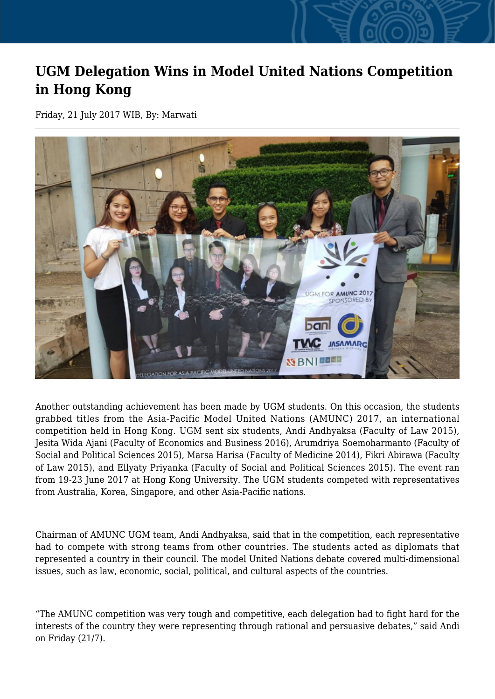## **UGM Delegation Wins in Model United Nations Competition in Hong Kong**

Friday, 21 July 2017 WIB, By: Marwati



Another outstanding achievement has been made by UGM students. On this occasion, the students grabbed titles from the Asia-Pacific Model United Nations (AMUNC) 2017, an international competition held in Hong Kong. UGM sent six students, Andi Andhyaksa (Faculty of Law 2015), Jesita Wida Ajani (Faculty of Economics and Business 2016), Arumdriya Soemoharmanto (Faculty of Social and Political Sciences 2015), Marsa Harisa (Faculty of Medicine 2014), Fikri Abirawa (Faculty of Law 2015), and Ellyaty Priyanka (Faculty of Social and Political Sciences 2015). The event ran from 19-23 June 2017 at Hong Kong University. The UGM students competed with representatives from Australia, Korea, Singapore, and other Asia-Pacific nations.

Chairman of AMUNC UGM team, Andi Andhyaksa, said that in the competition, each representative had to compete with strong teams from other countries. The students acted as diplomats that represented a country in their council. The model United Nations debate covered multi-dimensional issues, such as law, economic, social, political, and cultural aspects of the countries.

"The AMUNC competition was very tough and competitive, each delegation had to fight hard for the interests of the country they were representing through rational and persuasive debates," said Andi on Friday (21/7).